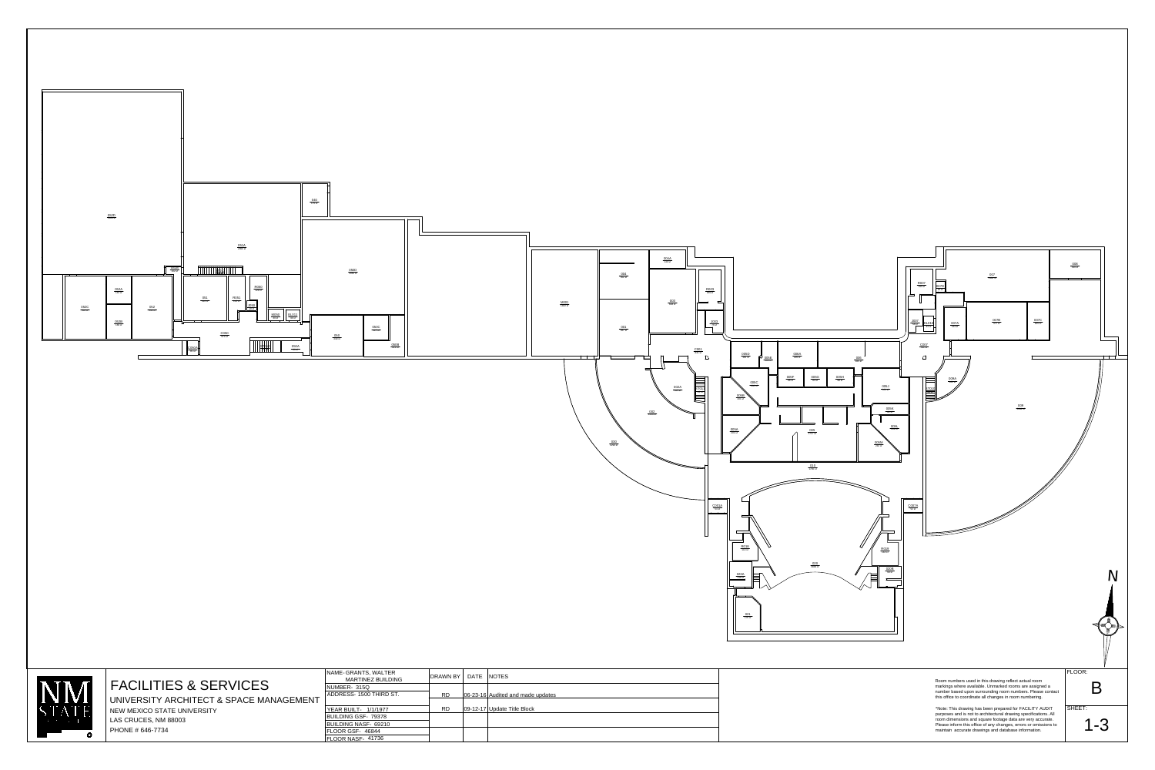



| DRAWN BY   DATE | <b>NOTES</b>                      |
|-----------------|-----------------------------------|
|                 |                                   |
| <b>RD</b>       | 06-23-16 Audited and made updates |
|                 |                                   |
| <b>RD</b>       | 09-12-17 Update Title Block       |
|                 |                                   |
|                 |                                   |
|                 |                                   |
|                 |                                   |

NAME-GRANTS, WALTER ADDRESS- 1500 THIRD ST. NUMBER-315Q



## FACILITIES & SERVICES

UNIVERSITY ARCHITECT & SPACE MANAGEMENT NEW MEXICO STATE UNIVERSITY LAS CRUCES, NM 88003 PHONE # 646-7734

BUILDING NASF-69210 BUILDING GSF-79378 YEAR BUILT-1/1/1977 FLOOR NASF-41736 FLOOR GSF-46844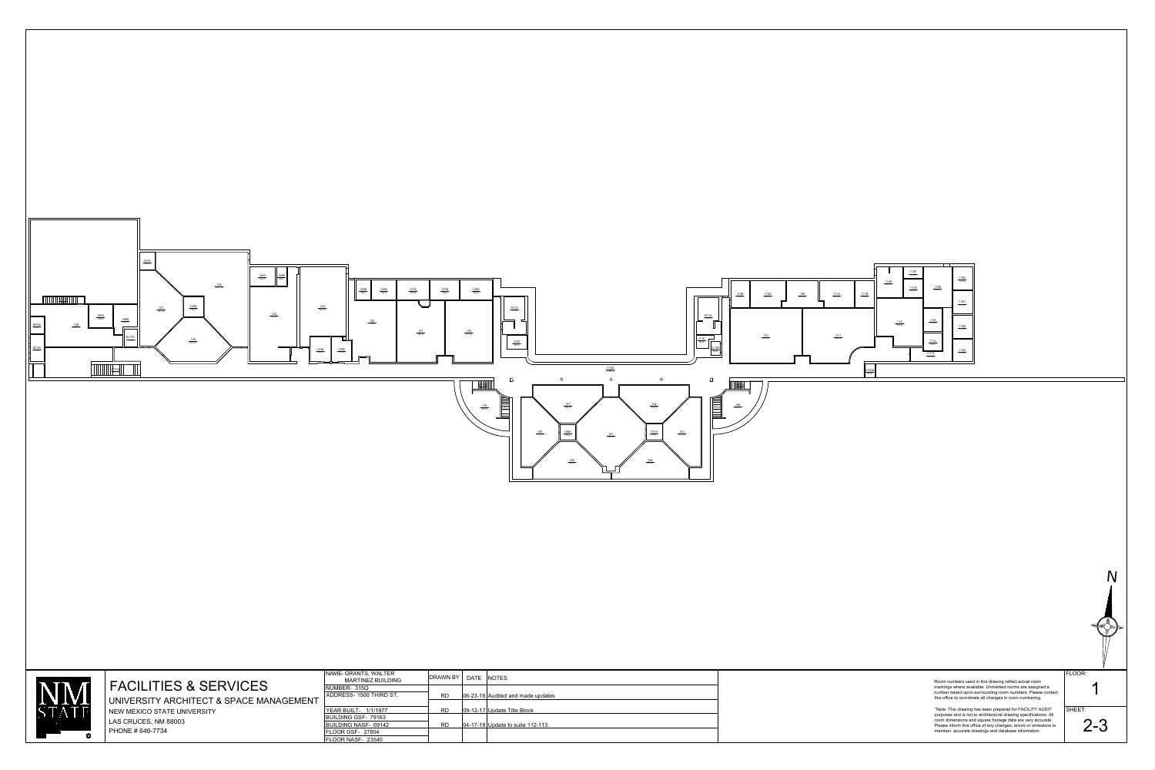

\*Note: This drawing has been prepared for FACILITY AUDIT  $|\:\mathsf{S}\mathsf{I}\:$ purposes and is not to architectural drawing specifications. All room dimensions and square footage data are very accurate. Please inform this office of any changes, errors or omissions to maintain accurate drawings and database information.





Room numbers used in this drawing reflect actual room markings where available. Unmarked rooms are assigned a number based upon surrounding room numbers. Please contact this office to coordinate all changes in room numbering.

## FACILITIES & SERVICES

UNIVERSITY ARCHITECT & SPACE MANAGEMENT NEW MEXICO STATE UNIVERSITY LAS CRUCES, NM 88003 PHONE # 646-7734

BUILDING NASF-69142 BUILDING GSF-79163 YEAR BUILT-1/1/1977 FLOOR NASF-23540 FLOOR GSF-27804

| NAME-GRANTS, WALTER<br><b>MARTINEZ BUILDING</b> | <b>DRAWN BY</b> | DATE | <b>NOTES</b>                          |
|-------------------------------------------------|-----------------|------|---------------------------------------|
| NUMBER- 315Q                                    |                 |      |                                       |
| ADDRESS- 1500 THIRD ST.                         | <b>RD</b>       |      | 06-23-16 Audited and made updates     |
|                                                 |                 |      |                                       |
| <b>YEAR BUILT- 1/1/1977</b>                     | <b>RD</b>       |      | $ 09-12-17 $ Update Title Block       |
| BUILDING GSF- 79163                             |                 |      |                                       |
| BUILDING NASF- 69142                            | <b>RD</b>       |      | $ 04-17-18 $ Update to suite 112-113. |
| FLOOR GSF- 27804                                |                 |      |                                       |
| ELOOR NASE_ 23540                               |                 |      |                                       |